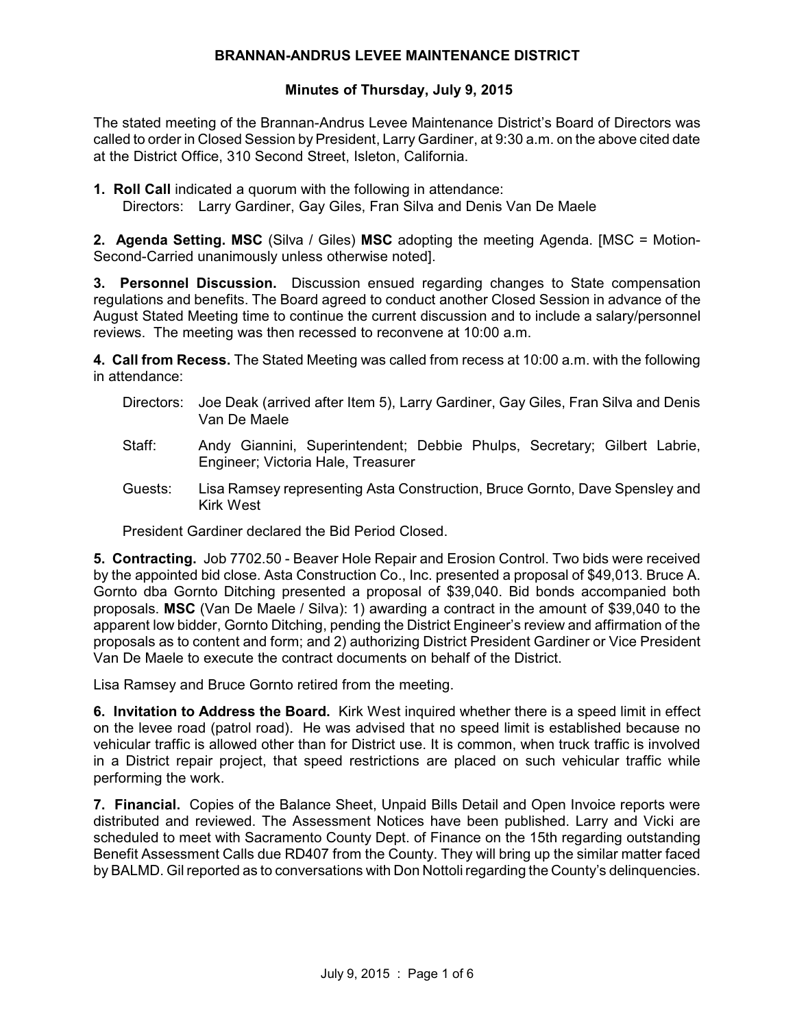### **BRANNAN-ANDRUS LEVEE MAINTENANCE DISTRICT**

## **Minutes of Thursday, July 9, 2015**

The stated meeting of the Brannan-Andrus Levee Maintenance District's Board of Directors was called to order in Closed Session by President, Larry Gardiner, at 9:30 a.m. on the above cited date at the District Office, 310 Second Street, Isleton, California.

**1. Roll Call** indicated a quorum with the following in attendance: Directors: Larry Gardiner, Gay Giles, Fran Silva and Denis Van De Maele

**2. Agenda Setting. MSC** (Silva / Giles) **MSC** adopting the meeting Agenda. [MSC = Motion-Second-Carried unanimously unless otherwise noted].

**3. Personnel Discussion.** Discussion ensued regarding changes to State compensation regulations and benefits. The Board agreed to conduct another Closed Session in advance of the August Stated Meeting time to continue the current discussion and to include a salary/personnel reviews. The meeting was then recessed to reconvene at 10:00 a.m.

**4. Call from Recess.** The Stated Meeting was called from recess at 10:00 a.m. with the following in attendance:

- Directors: Joe Deak (arrived after Item 5), Larry Gardiner, Gay Giles, Fran Silva and Denis Van De Maele
- Staff: Andy Giannini, Superintendent; Debbie Phulps, Secretary; Gilbert Labrie, Engineer; Victoria Hale, Treasurer
- Guests: Lisa Ramsey representing Asta Construction, Bruce Gornto, Dave Spensley and Kirk West

President Gardiner declared the Bid Period Closed.

**5. Contracting.** Job 7702.50 - Beaver Hole Repair and Erosion Control. Two bids were received by the appointed bid close. Asta Construction Co., Inc. presented a proposal of \$49,013. Bruce A. Gornto dba Gornto Ditching presented a proposal of \$39,040. Bid bonds accompanied both proposals. **MSC** (Van De Maele / Silva): 1) awarding a contract in the amount of \$39,040 to the apparent low bidder, Gornto Ditching, pending the District Engineer's review and affirmation of the proposals as to content and form; and 2) authorizing District President Gardiner or Vice President Van De Maele to execute the contract documents on behalf of the District.

Lisa Ramsey and Bruce Gornto retired from the meeting.

**6. Invitation to Address the Board.** Kirk West inquired whether there is a speed limit in effect on the levee road (patrol road). He was advised that no speed limit is established because no vehicular traffic is allowed other than for District use. It is common, when truck traffic is involved in a District repair project, that speed restrictions are placed on such vehicular traffic while performing the work.

**7. Financial.** Copies of the Balance Sheet, Unpaid Bills Detail and Open Invoice reports were distributed and reviewed. The Assessment Notices have been published. Larry and Vicki are scheduled to meet with Sacramento County Dept. of Finance on the 15th regarding outstanding Benefit Assessment Calls due RD407 from the County. They will bring up the similar matter faced by BALMD. Gil reported as to conversations with Don Nottoli regarding the County's delinquencies.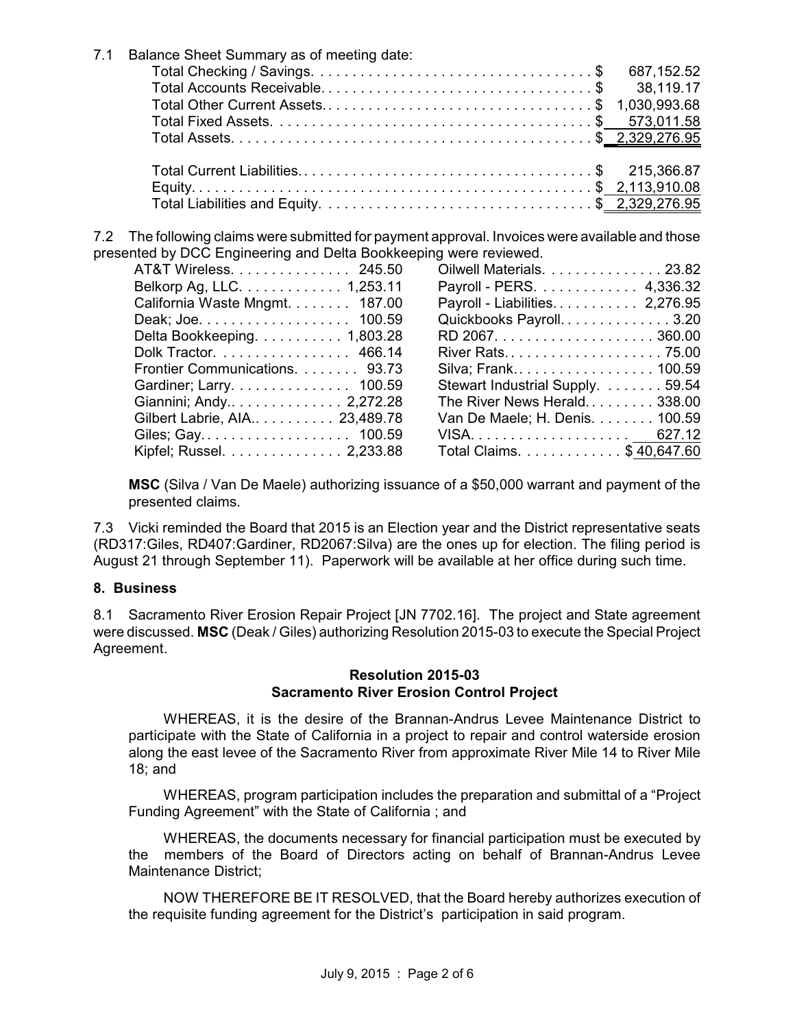| 7.1 | Balance Sheet Summary as of meeting date: |  |
|-----|-------------------------------------------|--|
|     |                                           |  |
|     |                                           |  |
|     |                                           |  |
|     |                                           |  |
|     |                                           |  |
|     |                                           |  |
|     |                                           |  |
|     |                                           |  |
|     |                                           |  |
|     |                                           |  |

7.2 The following claims were submitted for payment approval. Invoices were available and those presented by DCC Engineering and Delta Bookkeeping were reviewed.

| AT&T Wireless. 245.50          |
|--------------------------------|
| Belkorp Ag, LLC. 1,253.11      |
| California Waste Mngmt. 187.00 |
| Deak; Joe. 100.59              |
| Delta Bookkeeping. 1,803.28    |
| Dolk Tractor. 466.14           |
| Frontier Communications. 93.73 |
| Gardiner; Larry. 100.59        |
| Giannini; Andy 2,272.28        |
| Gilbert Labrie, AIA 23,489.78  |
| Giles; Gay. 100.59             |
| Kipfel; Russel. 2,233.88       |

| Oilwell Materials. 23.82         |
|----------------------------------|
| Payroll - PERS. 4,336.32         |
| Payroll - Liabilities 2,276.95   |
| Quickbooks Payroll. 3.20         |
|                                  |
| River Rats75.00                  |
| Silva; Frank 100.59              |
| Stewart Industrial Supply. 59.54 |
| The River News Herald 338.00     |
| Van De Maele; H. Denis. 100.59   |
|                                  |
| Total Claims. \$40,647.60        |
|                                  |

**MSC** (Silva / Van De Maele) authorizing issuance of a \$50,000 warrant and payment of the presented claims.

7.3 Vicki reminded the Board that 2015 is an Election year and the District representative seats (RD317:Giles, RD407:Gardiner, RD2067:Silva) are the ones up for election. The filing period is August 21 through September 11). Paperwork will be available at her office during such time.

## **8. Business**

8.1 Sacramento River Erosion Repair Project [JN 7702.16]. The project and State agreement were discussed. **MSC** (Deak / Giles) authorizing Resolution 2015-03 to execute the Special Project Agreement.

#### **Resolution 2015-03 Sacramento River Erosion Control Project**

WHEREAS, it is the desire of the Brannan-Andrus Levee Maintenance District to participate with the State of California in a project to repair and control waterside erosion along the east levee of the Sacramento River from approximate River Mile 14 to River Mile 18; and

WHEREAS, program participation includes the preparation and submittal of a "Project Funding Agreement" with the State of California ; and

WHEREAS, the documents necessary for financial participation must be executed by the members of the Board of Directors acting on behalf of Brannan-Andrus Levee Maintenance District;

NOW THEREFORE BE IT RESOLVED, that the Board hereby authorizes execution of the requisite funding agreement for the District's participation in said program.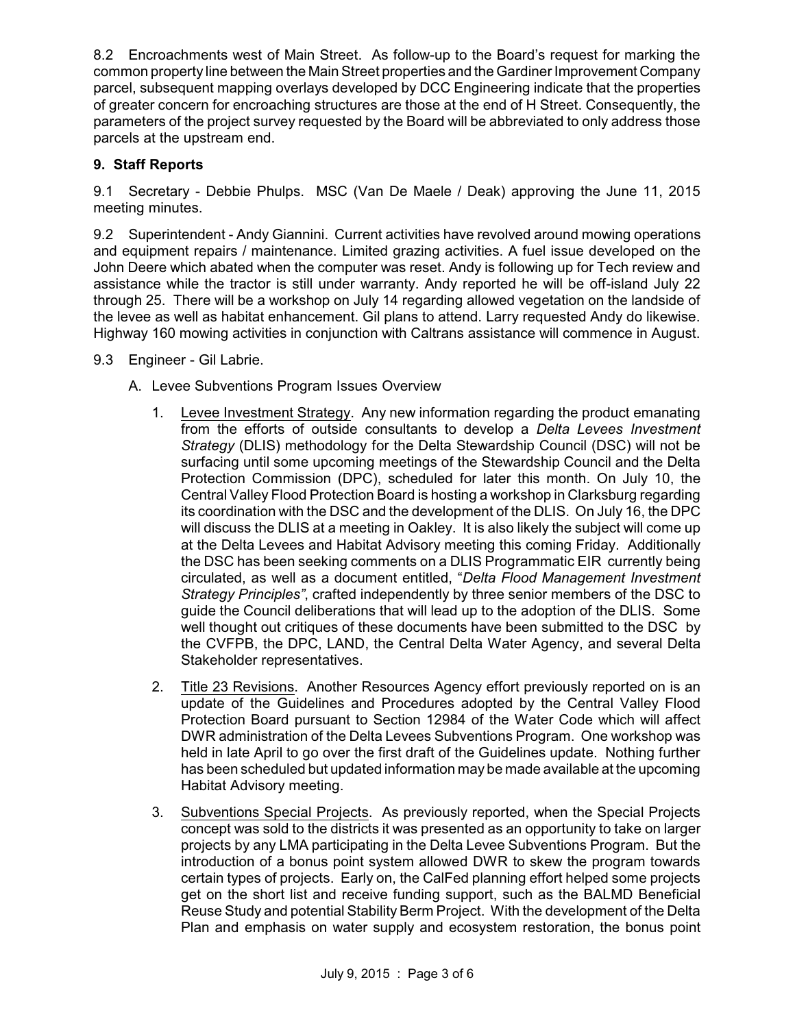8.2 Encroachments west of Main Street. As follow-up to the Board's request for marking the common property line between the Main Street properties and the Gardiner Improvement Company parcel, subsequent mapping overlays developed by DCC Engineering indicate that the properties of greater concern for encroaching structures are those at the end of H Street. Consequently, the parameters of the project survey requested by the Board will be abbreviated to only address those parcels at the upstream end.

# **9. Staff Reports**

9.1 Secretary - Debbie Phulps. MSC (Van De Maele / Deak) approving the June 11, 2015 meeting minutes.

9.2 Superintendent - Andy Giannini. Current activities have revolved around mowing operations and equipment repairs / maintenance. Limited grazing activities. A fuel issue developed on the John Deere which abated when the computer was reset. Andy is following up for Tech review and assistance while the tractor is still under warranty. Andy reported he will be off-island July 22 through 25. There will be a workshop on July 14 regarding allowed vegetation on the landside of the levee as well as habitat enhancement. Gil plans to attend. Larry requested Andy do likewise. Highway 160 mowing activities in conjunction with Caltrans assistance will commence in August.

- 9.3 Engineer Gil Labrie.
	- A. Levee Subventions Program Issues Overview
		- 1. Levee Investment Strategy. Any new information regarding the product emanating from the efforts of outside consultants to develop a *Delta Levees Investment Strategy* (DLIS) methodology for the Delta Stewardship Council (DSC) will not be surfacing until some upcoming meetings of the Stewardship Council and the Delta Protection Commission (DPC), scheduled for later this month. On July 10, the Central Valley Flood Protection Board is hosting a workshop in Clarksburg regarding its coordination with the DSC and the development of the DLIS. On July 16, the DPC will discuss the DLIS at a meeting in Oakley. It is also likely the subject will come up at the Delta Levees and Habitat Advisory meeting this coming Friday. Additionally the DSC has been seeking comments on a DLIS Programmatic EIR currently being circulated, as well as a document entitled, "*Delta Flood Management Investment Strategy Principles"*, crafted independently by three senior members of the DSC to guide the Council deliberations that will lead up to the adoption of the DLIS. Some well thought out critiques of these documents have been submitted to the DSC by the CVFPB, the DPC, LAND, the Central Delta Water Agency, and several Delta Stakeholder representatives.
		- 2. Title 23 Revisions. Another Resources Agency effort previously reported on is an update of the Guidelines and Procedures adopted by the Central Valley Flood Protection Board pursuant to Section 12984 of the Water Code which will affect DWR administration of the Delta Levees Subventions Program. One workshop was held in late April to go over the first draft of the Guidelines update. Nothing further has been scheduled but updated information may be made available at the upcoming Habitat Advisory meeting.
		- 3. Subventions Special Projects. As previously reported, when the Special Projects concept was sold to the districts it was presented as an opportunity to take on larger projects by any LMA participating in the Delta Levee Subventions Program. But the introduction of a bonus point system allowed DWR to skew the program towards certain types of projects. Early on, the CalFed planning effort helped some projects get on the short list and receive funding support, such as the BALMD Beneficial Reuse Study and potential Stability Berm Project. With the development of the Delta Plan and emphasis on water supply and ecosystem restoration, the bonus point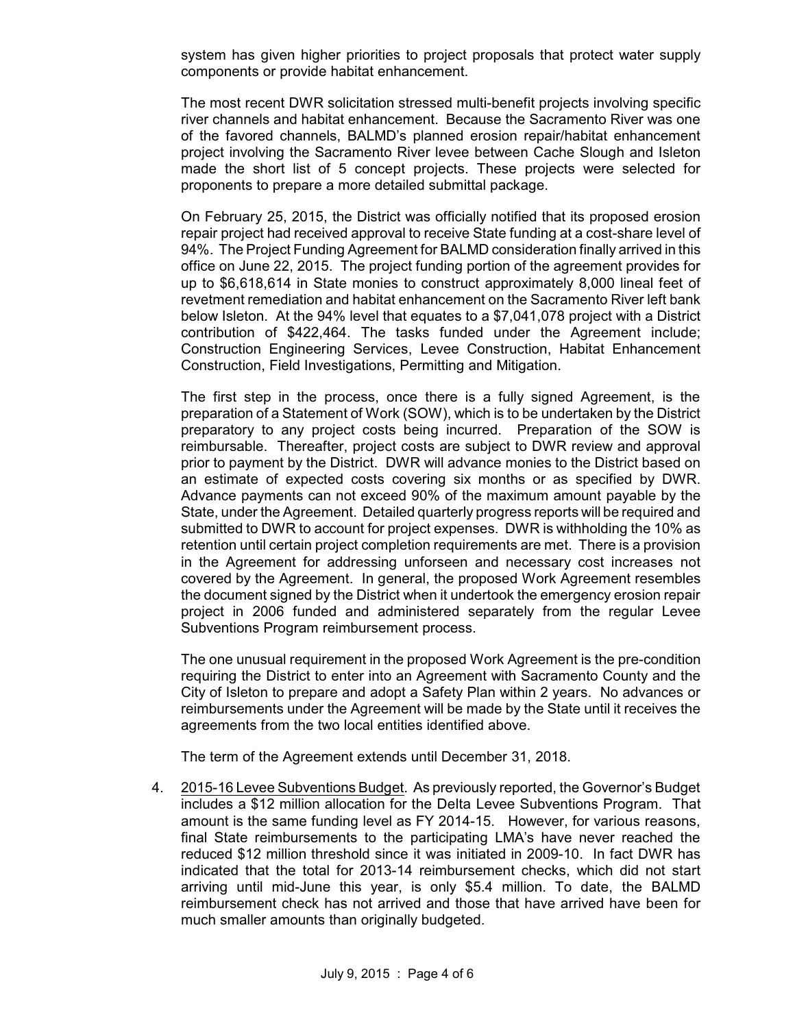system has given higher priorities to project proposals that protect water supply components or provide habitat enhancement.

The most recent DWR solicitation stressed multi-benefit projects involving specific river channels and habitat enhancement. Because the Sacramento River was one of the favored channels, BALMD's planned erosion repair/habitat enhancement project involving the Sacramento River levee between Cache Slough and Isleton made the short list of 5 concept projects. These projects were selected for proponents to prepare a more detailed submittal package.

On February 25, 2015, the District was officially notified that its proposed erosion repair project had received approval to receive State funding at a cost-share level of 94%. The Project Funding Agreement for BALMD consideration finally arrived in this office on June 22, 2015. The project funding portion of the agreement provides for up to \$6,618,614 in State monies to construct approximately 8,000 lineal feet of revetment remediation and habitat enhancement on the Sacramento River left bank below Isleton. At the 94% level that equates to a \$7,041,078 project with a District contribution of \$422,464. The tasks funded under the Agreement include; Construction Engineering Services, Levee Construction, Habitat Enhancement Construction, Field Investigations, Permitting and Mitigation.

The first step in the process, once there is a fully signed Agreement, is the preparation of a Statement of Work (SOW), which is to be undertaken by the District preparatory to any project costs being incurred. Preparation of the SOW is reimbursable. Thereafter, project costs are subject to DWR review and approval prior to payment by the District. DWR will advance monies to the District based on an estimate of expected costs covering six months or as specified by DWR. Advance payments can not exceed 90% of the maximum amount payable by the State, under the Agreement. Detailed quarterly progress reports will be required and submitted to DWR to account for project expenses. DWR is withholding the 10% as retention until certain project completion requirements are met. There is a provision in the Agreement for addressing unforseen and necessary cost increases not covered by the Agreement. In general, the proposed Work Agreement resembles the document signed by the District when it undertook the emergency erosion repair project in 2006 funded and administered separately from the regular Levee Subventions Program reimbursement process.

The one unusual requirement in the proposed Work Agreement is the pre-condition requiring the District to enter into an Agreement with Sacramento County and the City of Isleton to prepare and adopt a Safety Plan within 2 years. No advances or reimbursements under the Agreement will be made by the State until it receives the agreements from the two local entities identified above.

The term of the Agreement extends until December 31, 2018.

4. 2015-16 Levee Subventions Budget. As previously reported, the Governor's Budget includes a \$12 million allocation for the Delta Levee Subventions Program. That amount is the same funding level as FY 2014-15. However, for various reasons, final State reimbursements to the participating LMA's have never reached the reduced \$12 million threshold since it was initiated in 2009-10. In fact DWR has indicated that the total for 2013-14 reimbursement checks, which did not start arriving until mid-June this year, is only \$5.4 million. To date, the BALMD reimbursement check has not arrived and those that have arrived have been for much smaller amounts than originally budgeted.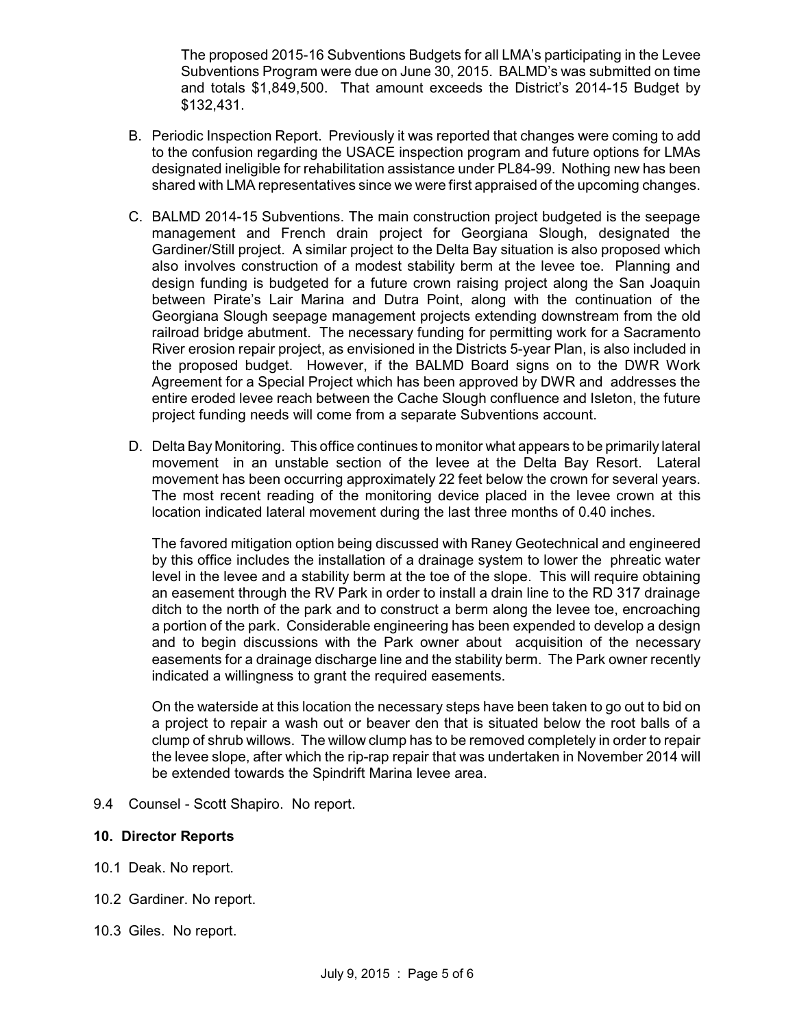The proposed 2015-16 Subventions Budgets for all LMA's participating in the Levee Subventions Program were due on June 30, 2015. BALMD's was submitted on time and totals \$1,849,500. That amount exceeds the District's 2014-15 Budget by \$132,431.

- B. Periodic Inspection Report. Previously it was reported that changes were coming to add to the confusion regarding the USACE inspection program and future options for LMAs designated ineligible for rehabilitation assistance under PL84-99. Nothing new has been shared with LMA representatives since we were first appraised of the upcoming changes.
- C. BALMD 2014-15 Subventions. The main construction project budgeted is the seepage management and French drain project for Georgiana Slough, designated the Gardiner/Still project. A similar project to the Delta Bay situation is also proposed which also involves construction of a modest stability berm at the levee toe. Planning and design funding is budgeted for a future crown raising project along the San Joaquin between Pirate's Lair Marina and Dutra Point, along with the continuation of the Georgiana Slough seepage management projects extending downstream from the old railroad bridge abutment. The necessary funding for permitting work for a Sacramento River erosion repair project, as envisioned in the Districts 5-year Plan, is also included in the proposed budget. However, if the BALMD Board signs on to the DWR Work Agreement for a Special Project which has been approved by DWR and addresses the entire eroded levee reach between the Cache Slough confluence and Isleton, the future project funding needs will come from a separate Subventions account.
- D. Delta Bay Monitoring. This office continues to monitor what appears to be primarily lateral movement in an unstable section of the levee at the Delta Bay Resort. Lateral movement has been occurring approximately 22 feet below the crown for several years. The most recent reading of the monitoring device placed in the levee crown at this location indicated lateral movement during the last three months of 0.40 inches.

The favored mitigation option being discussed with Raney Geotechnical and engineered by this office includes the installation of a drainage system to lower the phreatic water level in the levee and a stability berm at the toe of the slope. This will require obtaining an easement through the RV Park in order to install a drain line to the RD 317 drainage ditch to the north of the park and to construct a berm along the levee toe, encroaching a portion of the park. Considerable engineering has been expended to develop a design and to begin discussions with the Park owner about acquisition of the necessary easements for a drainage discharge line and the stability berm. The Park owner recently indicated a willingness to grant the required easements.

On the waterside at this location the necessary steps have been taken to go out to bid on a project to repair a wash out or beaver den that is situated below the root balls of a clump of shrub willows. The willow clump has to be removed completely in order to repair the levee slope, after which the rip-rap repair that was undertaken in November 2014 will be extended towards the Spindrift Marina levee area.

9.4 Counsel - Scott Shapiro. No report.

#### **10. Director Reports**

- 10.1 Deak. No report.
- 10.2 Gardiner. No report.
- 10.3 Giles. No report.